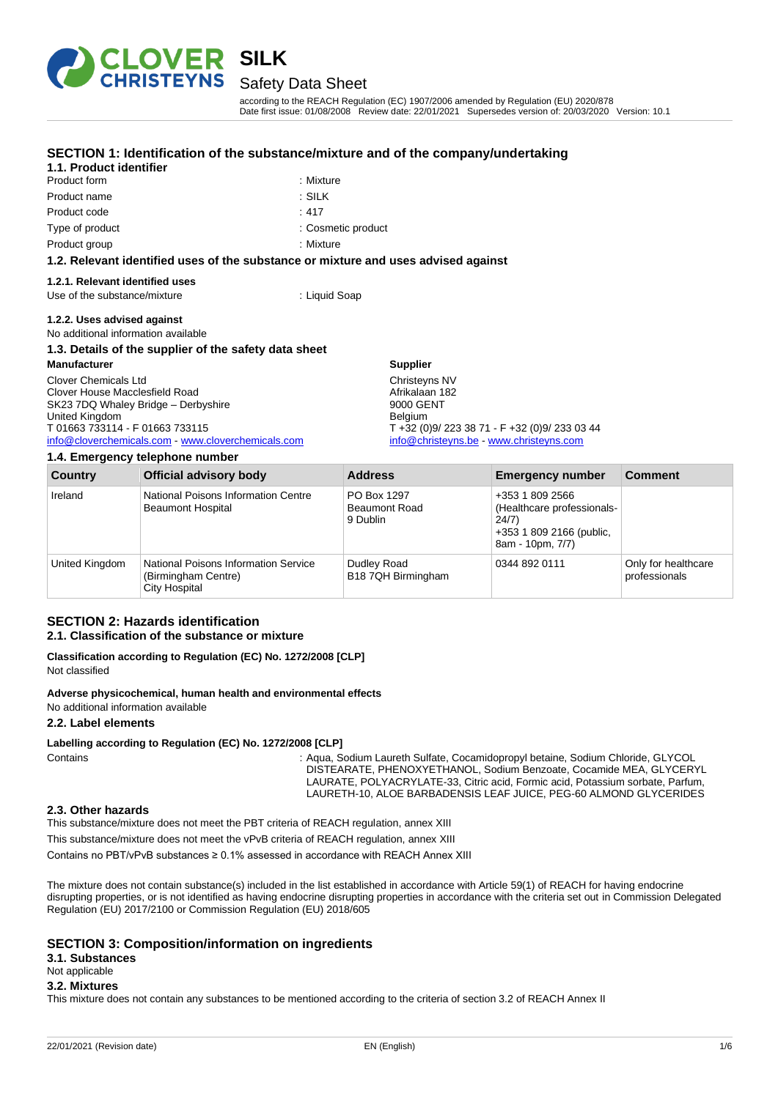

Product form : Nixture Product name : SILK

**1.1. Product identifier**

# Safety Data Sheet

**SECTION 1: Identification of the substance/mixture and of the company/undertaking**

according to the REACH Regulation (EC) 1907/2006 amended by Regulation (EU) 2020/878 Date first issue: 01/08/2008 Review date: 22/01/2021 Supersedes version of: 20/03/2020 Version: 10.1

| Product code                                                                                                                                                                                           | : 417                                                                                                                                                  |  |
|--------------------------------------------------------------------------------------------------------------------------------------------------------------------------------------------------------|--------------------------------------------------------------------------------------------------------------------------------------------------------|--|
| Type of product                                                                                                                                                                                        | : Cosmetic product                                                                                                                                     |  |
| Product group                                                                                                                                                                                          | : Mixture                                                                                                                                              |  |
| 1.2. Relevant identified uses of the substance or mixture and uses advised against                                                                                                                     |                                                                                                                                                        |  |
| 1.2.1. Relevant identified uses<br>Use of the substance/mixture                                                                                                                                        | : Liquid Soap                                                                                                                                          |  |
| 1.2.2. Uses advised against<br>No additional information available                                                                                                                                     |                                                                                                                                                        |  |
| 1.3. Details of the supplier of the safety data sheet                                                                                                                                                  |                                                                                                                                                        |  |
| <b>Manufacturer</b>                                                                                                                                                                                    | <b>Supplier</b>                                                                                                                                        |  |
| Clover Chemicals Ltd<br>Clover House Macclesfield Road<br>SK23 7DQ Whaley Bridge - Derbyshire<br>United Kingdom<br>T 01663 733114 - F 01663 733115<br>info@cloverchemicals.com www.cloverchemicals.com | Christeyns NV<br>Afrikalaan 182<br>9000 GENT<br><b>Belgium</b><br>$T + 32 (0)9/2233871 - F + 32 (0)9/2330344$<br>info@christeyns.be www.christeyns.com |  |
| 1.4 Emergency tolenhone number                                                                                                                                                                         |                                                                                                                                                        |  |

|                | $1.11$ = $1.10$ , got to $y$ to to priority the finite of                    |                                                 |                                                                                                        |                                      |
|----------------|------------------------------------------------------------------------------|-------------------------------------------------|--------------------------------------------------------------------------------------------------------|--------------------------------------|
| Country        | <b>Official advisory body</b>                                                | <b>Address</b>                                  | <b>Emergency number</b>                                                                                | <b>Comment</b>                       |
| Ireland        | National Poisons Information Centre<br><b>Beaumont Hospital</b>              | PO Box 1297<br><b>Beaumont Road</b><br>9 Dublin | +353 1 809 2566<br>(Healthcare professionals-<br>24/7)<br>+353 1 809 2166 (public,<br>8am - 10pm, 7/7) |                                      |
| United Kingdom | National Poisons Information Service<br>(Birmingham Centre)<br>City Hospital | Dudley Road<br>B18 7QH Birmingham               | 0344 892 0111                                                                                          | Only for healthcare<br>professionals |

### **SECTION 2: Hazards identification 2.1. Classification of the substance or mixture**

**Classification according to Regulation (EC) No. 1272/2008 [CLP]** Not classified

**Adverse physicochemical, human health and environmental effects**

No additional information available

### **2.2. Label elements**

**Labelling according to Regulation (EC) No. 1272/2008 [CLP]**

Contains : Aqua, Sodium Laureth Sulfate, Cocamidopropyl betaine, Sodium Chloride, GLYCOL DISTEARATE, PHENOXYETHANOL, Sodium Benzoate, Cocamide MEA, GLYCERYL LAURATE, POLYACRYLATE-33, Citric acid, Formic acid, Potassium sorbate, Parfum, LAURETH-10, ALOE BARBADENSIS LEAF JUICE, PEG-60 ALMOND GLYCERIDES

#### **2.3. Other hazards**

This substance/mixture does not meet the PBT criteria of REACH regulation, annex XIII

This substance/mixture does not meet the vPvB criteria of REACH regulation, annex XIII

Contains no PBT/vPvB substances ≥ 0.1% assessed in accordance with REACH Annex XIII

The mixture does not contain substance(s) included in the list established in accordance with Article 59(1) of REACH for having endocrine disrupting properties, or is not identified as having endocrine disrupting properties in accordance with the criteria set out in Commission Delegated Regulation (EU) 2017/2100 or Commission Regulation (EU) 2018/605

#### **SECTION 3: Composition/information on ingredients**

**3.1. Substances**

## Not applicable

#### **3.2. Mixtures**

This mixture does not contain any substances to be mentioned according to the criteria of section 3.2 of REACH Annex II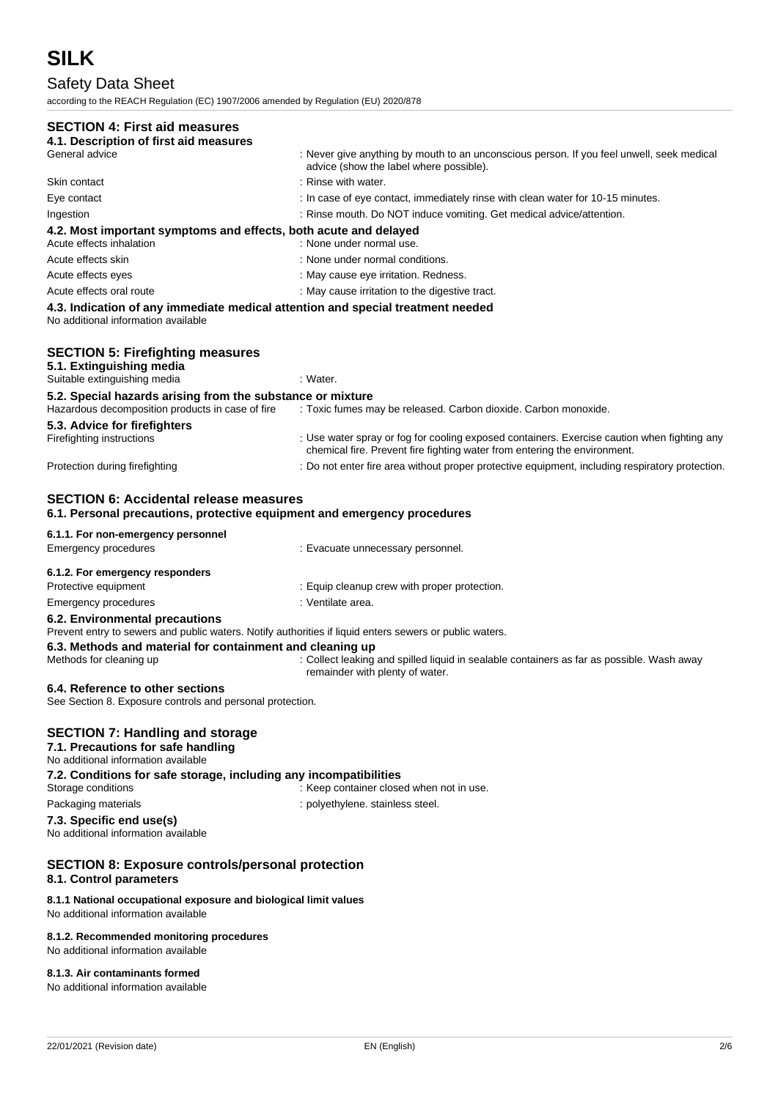# Safety Data Sheet

according to the REACH Regulation (EC) 1907/2006 amended by Regulation (EU) 2020/878

# **SECTION 4: First aid**

| SECTION 4: FIRST ald measures                                                                                                                                                            |                                                                                                                                                                          |
|------------------------------------------------------------------------------------------------------------------------------------------------------------------------------------------|--------------------------------------------------------------------------------------------------------------------------------------------------------------------------|
| 4.1. Description of first aid measures<br>General advice                                                                                                                                 | : Never give anything by mouth to an unconscious person. If you feel unwell, seek medical                                                                                |
|                                                                                                                                                                                          | advice (show the label where possible).                                                                                                                                  |
| Skin contact                                                                                                                                                                             | : Rinse with water.                                                                                                                                                      |
| Eye contact                                                                                                                                                                              | : In case of eye contact, immediately rinse with clean water for 10-15 minutes.                                                                                          |
| Ingestion                                                                                                                                                                                | : Rinse mouth. Do NOT induce vomiting. Get medical advice/attention.                                                                                                     |
| 4.2. Most important symptoms and effects, both acute and delayed<br>Acute effects inhalation                                                                                             | : None under normal use.                                                                                                                                                 |
| Acute effects skin                                                                                                                                                                       | : None under normal conditions.                                                                                                                                          |
| Acute effects eyes                                                                                                                                                                       | : May cause eye irritation. Redness.                                                                                                                                     |
| Acute effects oral route                                                                                                                                                                 | : May cause irritation to the digestive tract.                                                                                                                           |
| 4.3. Indication of any immediate medical attention and special treatment needed<br>No additional information available                                                                   |                                                                                                                                                                          |
| <b>SECTION 5: Firefighting measures</b><br>5.1. Extinguishing media<br>Suitable extinguishing media                                                                                      | : Water.                                                                                                                                                                 |
|                                                                                                                                                                                          |                                                                                                                                                                          |
| 5.2. Special hazards arising from the substance or mixture<br>Hazardous decomposition products in case of fire                                                                           | : Toxic fumes may be released. Carbon dioxide. Carbon monoxide.                                                                                                          |
| 5.3. Advice for firefighters<br>Firefighting instructions                                                                                                                                | : Use water spray or fog for cooling exposed containers. Exercise caution when fighting any<br>chemical fire. Prevent fire fighting water from entering the environment. |
| Protection during firefighting                                                                                                                                                           | : Do not enter fire area without proper protective equipment, including respiratory protection.                                                                          |
| <b>SECTION 6: Accidental release measures</b><br>6.1. Personal precautions, protective equipment and emergency procedures                                                                |                                                                                                                                                                          |
| 6.1.1. For non-emergency personnel                                                                                                                                                       |                                                                                                                                                                          |
| Emergency procedures                                                                                                                                                                     | : Evacuate unnecessary personnel.                                                                                                                                        |
| 6.1.2. For emergency responders                                                                                                                                                          |                                                                                                                                                                          |
| Protective equipment                                                                                                                                                                     | : Equip cleanup crew with proper protection.                                                                                                                             |
| <b>Emergency procedures</b>                                                                                                                                                              | : Ventilate area.                                                                                                                                                        |
| 6.2. Environmental precautions<br>Prevent entry to sewers and public waters. Notify authorities if liquid enters sewers or public waters.                                                |                                                                                                                                                                          |
| 6.3. Methods and material for containment and cleaning up<br>Methods for cleaning up                                                                                                     | : Collect leaking and spilled liquid in sealable containers as far as possible. Wash away<br>remainder with plenty of water.                                             |
| 6.4. Reference to other sections<br>See Section 8. Exposure controls and personal protection.                                                                                            |                                                                                                                                                                          |
| <b>SECTION 7: Handling and storage</b><br>7.1. Precautions for safe handling<br>No additional information available<br>7.2. Conditions for safe storage, including any incompatibilities |                                                                                                                                                                          |
| Storage conditions                                                                                                                                                                       | : Keep container closed when not in use.                                                                                                                                 |
| Packaging materials                                                                                                                                                                      | : polyethylene. stainless steel.                                                                                                                                         |
| 7.3. Specific end use(s)<br>No additional information available                                                                                                                          |                                                                                                                                                                          |
| <b>SECTION 8: Exposure controls/personal protection</b><br>8.1. Control parameters                                                                                                       |                                                                                                                                                                          |
| 8.1.1 National occupational exposure and biological limit values<br>No additional information available                                                                                  |                                                                                                                                                                          |
| 8.1.2. Recommended monitoring procedures<br>No additional information available                                                                                                          |                                                                                                                                                                          |

**8.1.3. Air contaminants formed**

No additional information available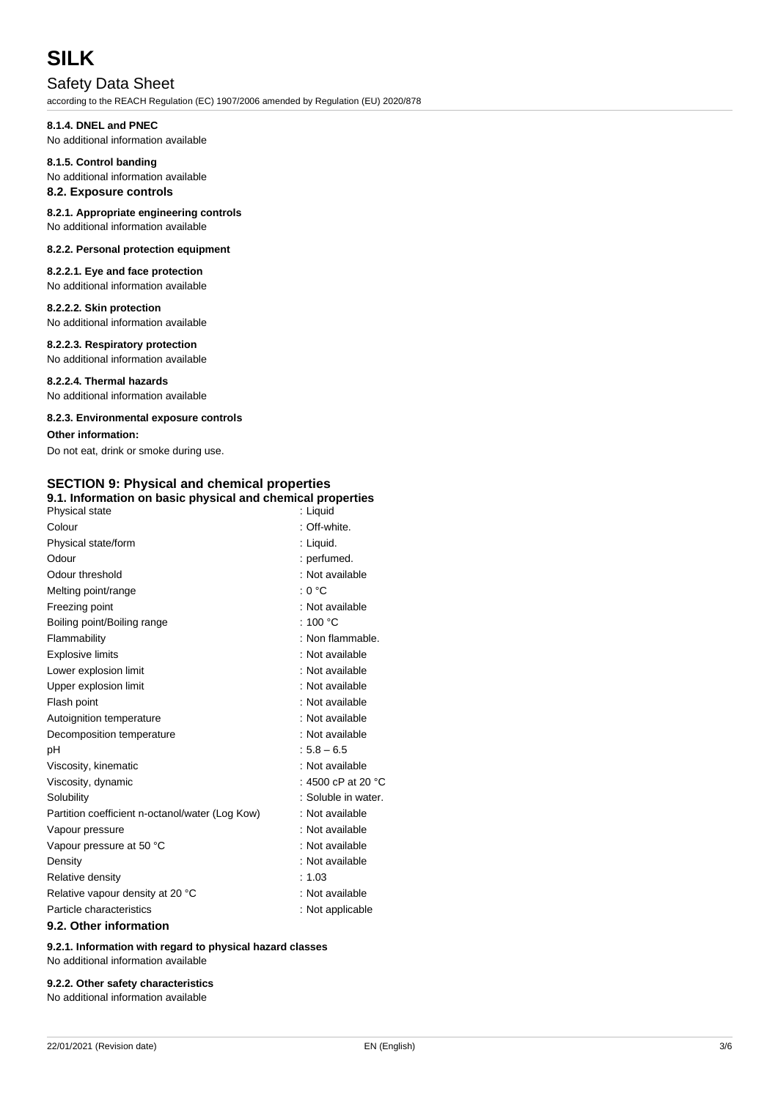# **SILK**

# Safety Data Sheet

according to the REACH Regulation (EC) 1907/2006 amended by Regulation (EU) 2020/878

# **8.1.4. DNEL and PNEC**

No additional information available

#### **8.1.5. Control banding** No additional information available

# **8.2. Exposure controls**

### **8.2.1. Appropriate engineering controls** No additional information available

### **8.2.2. Personal protection equipment**

**8.2.2.1. Eye and face protection** No additional information available

### **8.2.2.2. Skin protection**

No additional information available

### **8.2.2.3. Respiratory protection**

No additional information available

# **8.2.2.4. Thermal hazards**

No additional information available

### **8.2.3. Environmental exposure controls**

### **Other information:**

Do not eat, drink or smoke during use.

# **SECTION 9: Physical and chemical properties**

| 9.1. Information on basic physical and chemical properties |                              |
|------------------------------------------------------------|------------------------------|
| Physical state                                             | : Liquid                     |
| Colour                                                     | : Off-white.                 |
| Physical state/form                                        | : Liquid.                    |
| Odour                                                      | : perfumed.                  |
| Odour threshold                                            | : Not available              |
| Melting point/range                                        | : 0 °C                       |
| Freezing point                                             | : Not available              |
| Boiling point/Boiling range                                | : 100 $\degree$ C            |
| Flammability                                               | : Non flammable.             |
| <b>Explosive limits</b>                                    | : Not available              |
| Lower explosion limit                                      | : Not available              |
| Upper explosion limit                                      | : Not available              |
| Flash point                                                | : Not available              |
| Autoignition temperature                                   | : Not available              |
| Decomposition temperature                                  | : Not available              |
| рH                                                         | $: 5.8 - 6.5$                |
| Viscosity, kinematic                                       | : Not available              |
| Viscosity, dynamic                                         | : 4500 cP at 20 $^{\circ}$ C |
| Solubility                                                 | : Soluble in water.          |
| Partition coefficient n-octanol/water (Log Kow)            | : Not available              |
| Vapour pressure                                            | : Not available              |
| Vapour pressure at 50 °C                                   | : Not available              |
| Density                                                    | : Not available              |
| Relative density                                           | : 1.03                       |
| Relative vapour density at 20 °C                           | : Not available              |
| Particle characteristics                                   | : Not applicable             |
| 9.2. Other information                                     |                              |

**9.2.1. Information with regard to physical hazard classes** No additional information available

## **9.2.2. Other safety characteristics**

No additional information available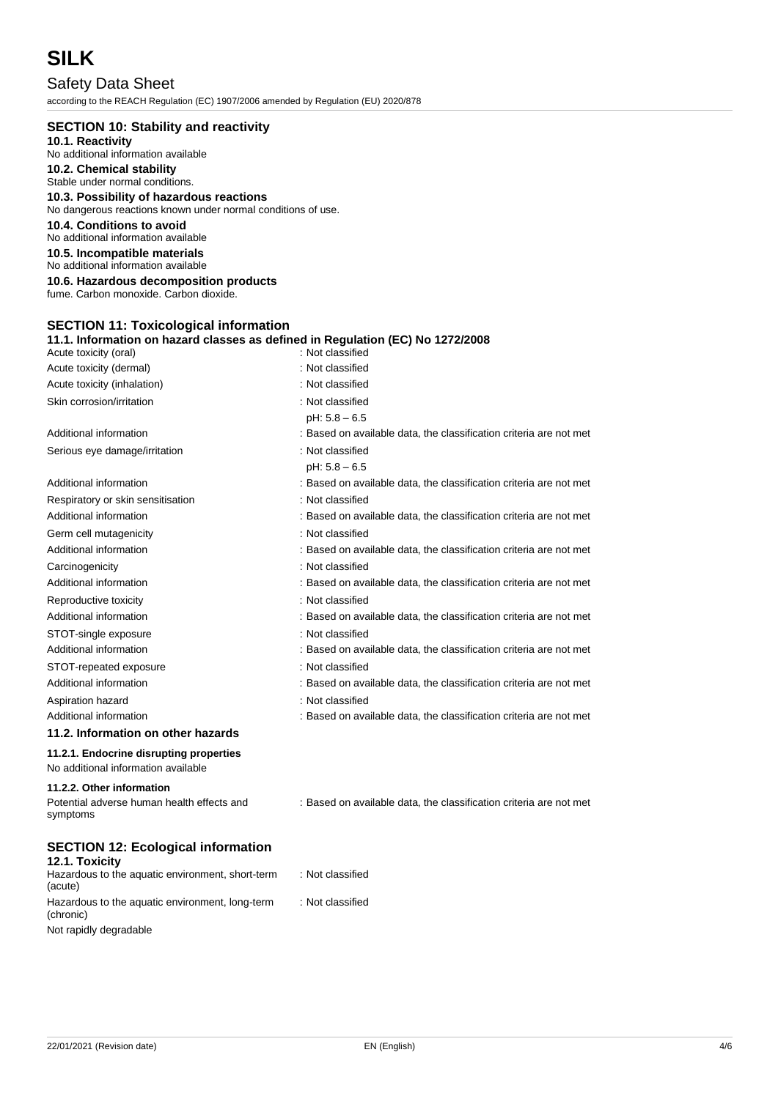# **SILK**

Safety Data Sheet according to the REACH Regulation (EC) 1907/2006 amended by Regulation (EU) 2020/878

| <b>SECTION 10: Stability and reactivity</b>                                                              |                                                                    |
|----------------------------------------------------------------------------------------------------------|--------------------------------------------------------------------|
| 10.1. Reactivity                                                                                         |                                                                    |
| No additional information available                                                                      |                                                                    |
| 10.2. Chemical stability                                                                                 |                                                                    |
| Stable under normal conditions.                                                                          |                                                                    |
| 10.3. Possibility of hazardous reactions<br>No dangerous reactions known under normal conditions of use. |                                                                    |
| 10.4. Conditions to avoid                                                                                |                                                                    |
| No additional information available                                                                      |                                                                    |
| 10.5. Incompatible materials<br>No additional information available                                      |                                                                    |
| 10.6. Hazardous decomposition products                                                                   |                                                                    |
| fume. Carbon monoxide. Carbon dioxide.                                                                   |                                                                    |
|                                                                                                          |                                                                    |
| <b>SECTION 11: Toxicological information</b>                                                             |                                                                    |
| 11.1. Information on hazard classes as defined in Regulation (EC) No 1272/2008                           |                                                                    |
| Acute toxicity (oral)                                                                                    | : Not classified                                                   |
| Acute toxicity (dermal)                                                                                  | : Not classified                                                   |
| Acute toxicity (inhalation)                                                                              | : Not classified                                                   |
| Skin corrosion/irritation                                                                                | : Not classified                                                   |
|                                                                                                          | $pH: 5.8 - 6.5$                                                    |
| Additional information                                                                                   | : Based on available data, the classification criteria are not met |
| Serious eye damage/irritation                                                                            | : Not classified                                                   |
|                                                                                                          | $pH: 5.8 - 6.5$                                                    |
| Additional information                                                                                   | : Based on available data, the classification criteria are not met |
| Respiratory or skin sensitisation                                                                        | : Not classified                                                   |
| Additional information                                                                                   | : Based on available data, the classification criteria are not met |
| Germ cell mutagenicity                                                                                   | : Not classified                                                   |
| Additional information                                                                                   | : Based on available data, the classification criteria are not met |
| Carcinogenicity                                                                                          | : Not classified                                                   |
| Additional information                                                                                   | : Based on available data, the classification criteria are not met |
| Reproductive toxicity                                                                                    | : Not classified                                                   |
| Additional information                                                                                   | : Based on available data, the classification criteria are not met |
| STOT-single exposure                                                                                     | : Not classified                                                   |
| Additional information                                                                                   | : Based on available data, the classification criteria are not met |
| STOT-repeated exposure                                                                                   | : Not classified                                                   |
| Additional information                                                                                   | : Based on available data, the classification criteria are not met |
|                                                                                                          | : Not classified                                                   |
| Aspiration hazard<br>Additional information                                                              |                                                                    |
| 11.2. Information on other hazards                                                                       | : Based on available data, the classification criteria are not met |
|                                                                                                          |                                                                    |
| 11.2.1. Endocrine disrupting properties<br>No additional information available                           |                                                                    |
| 11.2.2. Other information                                                                                |                                                                    |
| Potential adverse human health effects and<br>symptoms                                                   | : Based on available data, the classification criteria are not met |
| <b>SECTION 12: Ecological information</b>                                                                |                                                                    |
| 12.1. Toxicity<br>Hazardous to the aquatic environment, short-term<br>(acute)                            | : Not classified                                                   |

Not rapidly degradable

(chronic)

Hazardous to the aquatic environment, long-term

: Not classified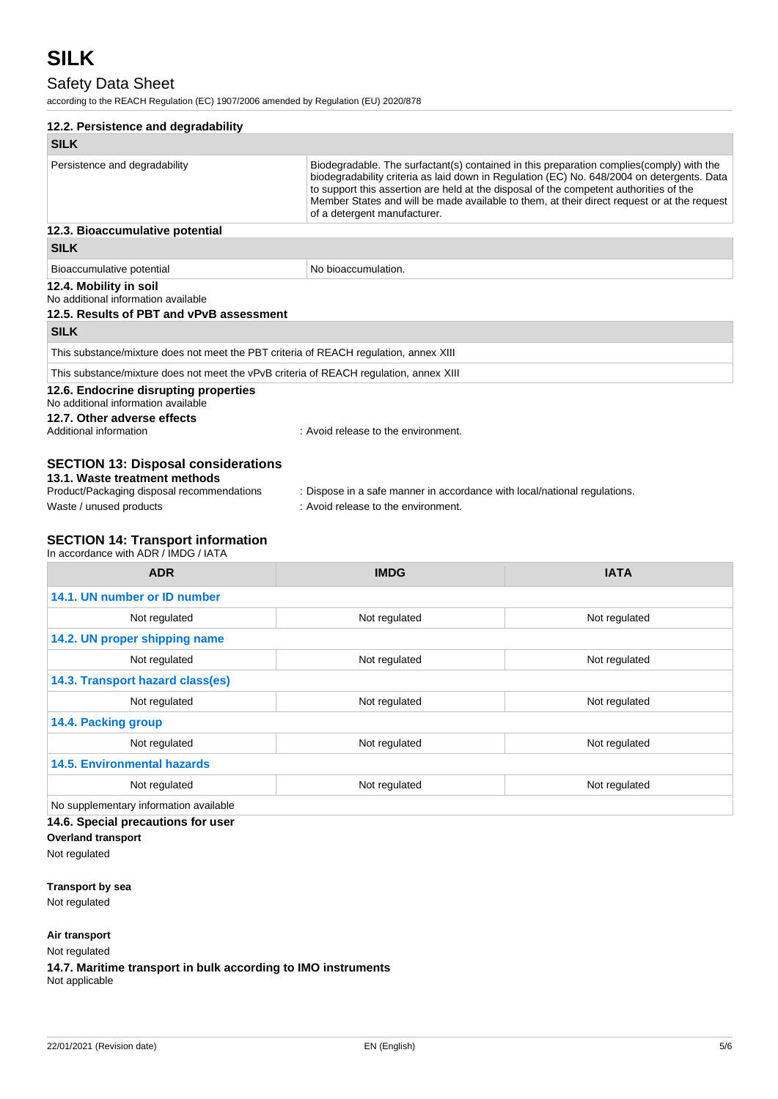# Safety Data Sheet

according to the REACH Regulation (EC) 1907/2006 amended by Regulation (EU) 2020/878

| 12.2. Persistence and degradability                                                                                       |                                                                                                                                                                                                                                                                                                                                                                                                                  |  |  |
|---------------------------------------------------------------------------------------------------------------------------|------------------------------------------------------------------------------------------------------------------------------------------------------------------------------------------------------------------------------------------------------------------------------------------------------------------------------------------------------------------------------------------------------------------|--|--|
| <b>SILK</b>                                                                                                               |                                                                                                                                                                                                                                                                                                                                                                                                                  |  |  |
| Persistence and degradability                                                                                             | Biodegradable. The surfactant(s) contained in this preparation complies (comply) with the<br>biodegradability criteria as laid down in Regulation (EC) No. 648/2004 on detergents. Data<br>to support this assertion are held at the disposal of the competent authorities of the<br>Member States and will be made available to them, at their direct request or at the request<br>of a detergent manufacturer. |  |  |
| 12.3. Bioaccumulative potential                                                                                           |                                                                                                                                                                                                                                                                                                                                                                                                                  |  |  |
| <b>SILK</b>                                                                                                               |                                                                                                                                                                                                                                                                                                                                                                                                                  |  |  |
| Bioaccumulative potential                                                                                                 | No bioaccumulation.                                                                                                                                                                                                                                                                                                                                                                                              |  |  |
| 12.4. Mobility in soil<br>No additional information available<br>12.5. Results of PBT and vPvB assessment                 |                                                                                                                                                                                                                                                                                                                                                                                                                  |  |  |
| <b>SILK</b>                                                                                                               |                                                                                                                                                                                                                                                                                                                                                                                                                  |  |  |
| This substance/mixture does not meet the PBT criteria of REACH regulation, annex XIII                                     |                                                                                                                                                                                                                                                                                                                                                                                                                  |  |  |
| This substance/mixture does not meet the vPvB criteria of REACH regulation, annex XIII                                    |                                                                                                                                                                                                                                                                                                                                                                                                                  |  |  |
| 12.6. Endocrine disrupting properties<br>No additional information available<br>12.7. Other adverse effects               |                                                                                                                                                                                                                                                                                                                                                                                                                  |  |  |
| Additional information                                                                                                    | : Avoid release to the environment.                                                                                                                                                                                                                                                                                                                                                                              |  |  |
| <b>SECTION 13: Disposal considerations</b><br>13.1. Waste treatment methods<br>Product/Packaging disposal recommendations |                                                                                                                                                                                                                                                                                                                                                                                                                  |  |  |
| Waste / unused products                                                                                                   | : Dispose in a safe manner in accordance with local/national regulations.<br>: Avoid release to the environment.                                                                                                                                                                                                                                                                                                 |  |  |
|                                                                                                                           |                                                                                                                                                                                                                                                                                                                                                                                                                  |  |  |
| <b>SECTION 14: Transport information</b><br>In accordance with ADR / IMDG / IATA                                          |                                                                                                                                                                                                                                                                                                                                                                                                                  |  |  |
|                                                                                                                           |                                                                                                                                                                                                                                                                                                                                                                                                                  |  |  |

| <b>ADR</b>                                   | <b>IMDG</b>   | <b>IATA</b>   |  |
|----------------------------------------------|---------------|---------------|--|
| 14.1. UN number or ID number                 |               |               |  |
| Not regulated                                | Not regulated | Not regulated |  |
| 14.2. UN proper shipping name                |               |               |  |
| Not regulated                                | Not regulated | Not regulated |  |
| 14.3. Transport hazard class(es)             |               |               |  |
| Not regulated                                | Not regulated | Not regulated |  |
| 14.4. Packing group                          |               |               |  |
| Not regulated                                | Not regulated | Not regulated |  |
| <b>14.5. Environmental hazards</b>           |               |               |  |
| Not regulated                                | Not regulated | Not regulated |  |
| No supplementary information available       |               |               |  |
| $\overline{AB}$ Cosalel presentiana faricase |               |               |  |

**14.6. Special precautions for user**

**Overland transport** Not regulated

**Transport by sea**

Not regulated

**Air transport**

Not regulated

**14.7. Maritime transport in bulk according to IMO instruments** Not applicable